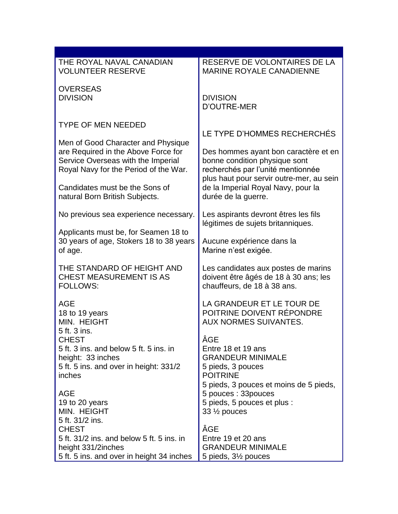| THE ROYAL NAVAL CANADIAN                                                    | RESERVE DE VOLONTAIRES DE LA                                                 |
|-----------------------------------------------------------------------------|------------------------------------------------------------------------------|
| <b>VOLUNTEER RESERVE</b>                                                    | <b>MARINE ROYALE CANADIENNE</b>                                              |
| <b>OVERSEAS</b>                                                             |                                                                              |
| <b>DIVISION</b>                                                             | <b>DIVISION</b><br><b>D'OUTRE-MER</b>                                        |
|                                                                             |                                                                              |
| <b>TYPE OF MEN NEEDED</b>                                                   | LE TYPE D'HOMMES RECHERCHÉS                                                  |
| Men of Good Character and Physique                                          |                                                                              |
| are Required in the Above Force for                                         | Des hommes ayant bon caractère et en                                         |
| Service Overseas with the Imperial<br>Royal Navy for the Period of the War. | bonne condition physique sont<br>recherchés par l'unité mentionnée           |
|                                                                             | plus haut pour servir outre-mer, au sein                                     |
| Candidates must be the Sons of<br>natural Born British Subjects.            | de la Imperial Royal Navy, pour la<br>durée de la guerre.                    |
|                                                                             |                                                                              |
| No previous sea experience necessary.                                       | Les aspirants devront êtres les fils<br>légitimes de sujets britanniques.    |
| Applicants must be, for Seamen 18 to                                        |                                                                              |
| 30 years of age, Stokers 18 to 38 years<br>of age.                          | Aucune expérience dans la<br>Marine n'est exigée.                            |
|                                                                             |                                                                              |
| THE STANDARD OF HEIGHT AND<br><b>CHEST MEASUREMENT IS AS</b>                | Les candidates aux postes de marins<br>doivent être âgés de 18 à 30 ans; les |
| <b>FOLLOWS:</b>                                                             | chauffeurs, de 18 à 38 ans.                                                  |
| <b>AGE</b>                                                                  | LA GRANDEUR ET LE TOUR DE                                                    |
| 18 to 19 years                                                              | POITRINE DOIVENT RÉPONDRE                                                    |
| MIN. HEIGHT                                                                 | <b>AUX NORMES SUIVANTES.</b>                                                 |
| 5 ft. 3 ins.<br><b>CHEST</b>                                                | ÂGE                                                                          |
| 5 ft. 3 ins. and below 5 ft. 5 ins. in                                      | Entre 18 et 19 ans                                                           |
| height: 33 inches<br>5 ft. 5 ins. and over in height: 331/2                 | <b>GRANDEUR MINIMALE</b><br>5 pieds, 3 pouces                                |
| inches                                                                      | <b>POITRINE</b>                                                              |
| <b>AGE</b>                                                                  | 5 pieds, 3 pouces et moins de 5 pieds,<br>5 pouces: 33 pouces                |
| 19 to 20 years                                                              | 5 pieds, 5 pouces et plus :                                                  |
| MIN. HEIGHT<br>5 ft. 31/2 ins.                                              | $33\frac{1}{2}$ pouces                                                       |
| <b>CHEST</b>                                                                | ÂGE                                                                          |
| 5 ft. 31/2 ins. and below 5 ft. 5 ins. in                                   | Entre 19 et 20 ans                                                           |
| height 331/2inches<br>5 ft. 5 ins. and over in height 34 inches             | <b>GRANDEUR MINIMALE</b><br>5 pieds, 3½ pouces                               |